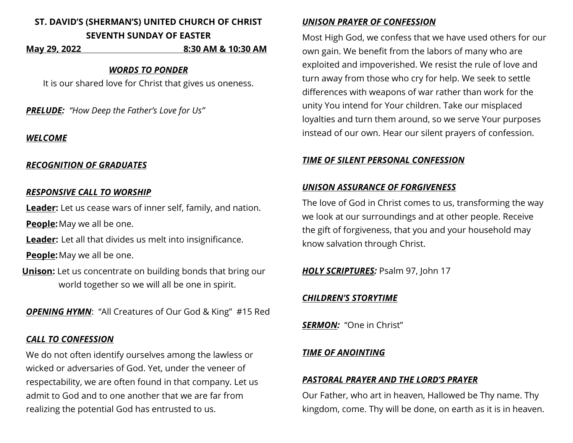# **ST. DAVID'S (SHERMAN'S) UNITED CHURCH OF CHRIST SEVENTH SUNDAY OF EASTER**

#### **May 29, 2022 8:30 AM & 10:30 AM**

#### *WORDS TO PONDER*

It is our shared love for Christ that gives us oneness.

*PRELUDE: "How Deep the Father's Love for Us"*

## *WELCOME*

## *RECOGNITION OF GRADUATES*

### *RESPONSIVE CALL TO WORSHIP*

**Leader:** Let us cease wars of inner self, family, and nation.

**People:**May we all be one.

**Leader:** Let all that divides us melt into insignificance.

**People:**May we all be one.

**Unison:** Let us concentrate on building bonds that bring our world together so we will all be one in spirit.

*OPENING HYMN*: "All Creatures of Our God & King" #15 Red

# *CALL TO CONFESSION*

We do not often identify ourselves among the lawless or wicked or adversaries of God. Yet, under the veneer of respectability, we are often found in that company. Let us admit to God and to one another that we are far from realizing the potential God has entrusted to us.

### *UNISON PRAYER OF CONFESSION*

Most High God, we confess that we have used others for our own gain. We benefit from the labors of many who are exploited and impoverished. We resist the rule of love and turn away from those who cry for help. We seek to settle differences with weapons of war rather than work for the unity You intend for Your children. Take our misplaced loyalties and turn them around, so we serve Your purposes instead of our own. Hear our silent prayers of confession.

# *TIME OF SILENT PERSONAL CONFESSION*

# *UNISON ASSURANCE OF FORGIVENESS*

The love of God in Christ comes to us, transforming the way we look at our surroundings and at other people. Receive the gift of forgiveness, that you and your household may know salvation through Christ.

*HOLY SCRIPTURES:* Psalm 97, John 17

# *CHILDREN'S STORYTIME*

*SERMON:* "One in Christ"

# *TIME OF ANOINTING*

# *PASTORAL PRAYER AND THE LORD'S PRAYER*

Our Father, who art in heaven, Hallowed be Thy name. Thy kingdom, come. Thy will be done, on earth as it is in heaven.